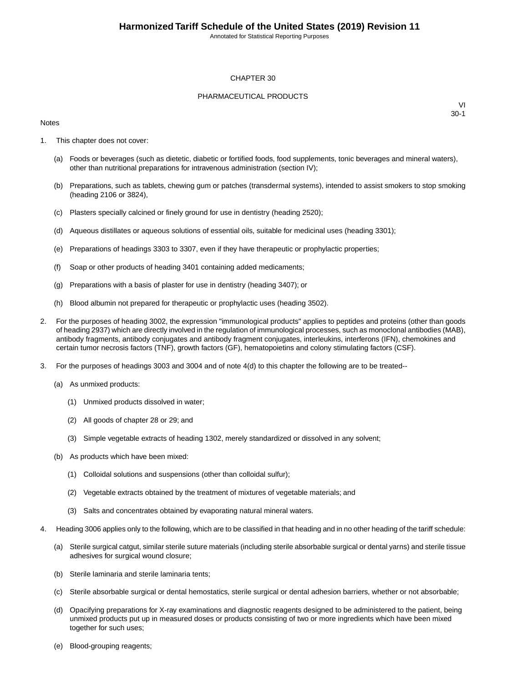Annotated for Statistical Reporting Purposes

#### CHAPTER 30

#### PHARMACEUTICAL PRODUCTS

#### Notes

- 1. This chapter does not cover:
	- (a) Foods or beverages (such as dietetic, diabetic or fortified foods, food supplements, tonic beverages and mineral waters), other than nutritional preparations for intravenous administration (section IV);
	- (b) Preparations, such as tablets, chewing gum or patches (transdermal systems), intended to assist smokers to stop smoking (heading 2106 or 3824),
	- (c) Plasters specially calcined or finely ground for use in dentistry (heading 2520);
	- (d) Aqueous distillates or aqueous solutions of essential oils, suitable for medicinal uses (heading 3301);
	- (e) Preparations of headings 3303 to 3307, even if they have therapeutic or prophylactic properties;
	- (f) Soap or other products of heading 3401 containing added medicaments;
	- (g) Preparations with a basis of plaster for use in dentistry (heading 3407); or
	- (h) Blood albumin not prepared for therapeutic or prophylactic uses (heading 3502).
- 2. For the purposes of heading 3002, the expression "immunological products" applies to peptides and proteins (other than goods of heading 2937) which are directly involved in the regulation of immunological processes, such as monoclonal antibodies (MAB), antibody fragments, antibody conjugates and antibody fragment conjugates, interleukins, interferons (IFN), chemokines and certain tumor necrosis factors (TNF), growth factors (GF), hematopoietins and colony stimulating factors (CSF).
- 3. For the purposes of headings 3003 and 3004 and of note 4(d) to this chapter the following are to be treated--
	- (a) As unmixed products:
		- (1) Unmixed products dissolved in water;
		- (2) All goods of chapter 28 or 29; and
		- (3) Simple vegetable extracts of heading 1302, merely standardized or dissolved in any solvent;
	- (b) As products which have been mixed:
		- (1) Colloidal solutions and suspensions (other than colloidal sulfur);
		- (2) Vegetable extracts obtained by the treatment of mixtures of vegetable materials; and
		- (3) Salts and concentrates obtained by evaporating natural mineral waters.
- 4. Heading 3006 applies only to the following, which are to be classified in that heading and in no other heading of the tariff schedule:
	- (a) Sterile surgical catgut, similar sterile suture materials (including sterile absorbable surgical or dental yarns) and sterile tissue adhesives for surgical wound closure;
	- (b) Sterile laminaria and sterile laminaria tents;
	- (c) Sterile absorbable surgical or dental hemostatics, sterile surgical or dental adhesion barriers, whether or not absorbable;
	- (d) Opacifying preparations for X-ray examinations and diagnostic reagents designed to be administered to the patient, being unmixed products put up in measured doses or products consisting of two or more ingredients which have been mixed together for such uses;
	- (e) Blood-grouping reagents;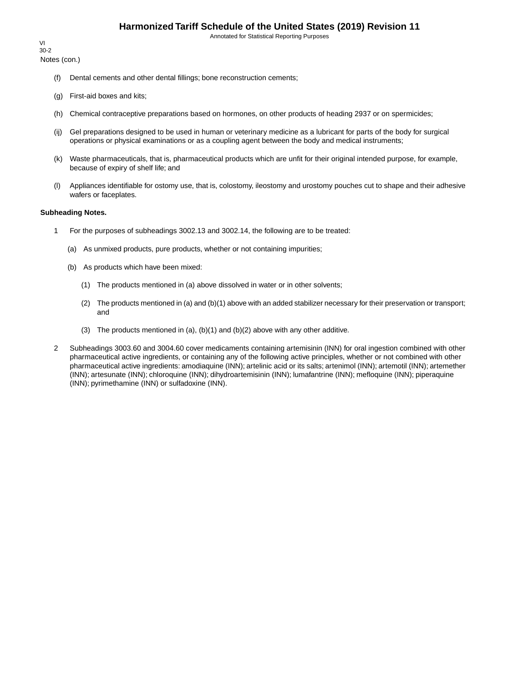Annotated for Statistical Reporting Purposes

Notes (con.) VI 30-2

- (f) Dental cements and other dental fillings; bone reconstruction cements;
- (g) First-aid boxes and kits;
- (h) Chemical contraceptive preparations based on hormones, on other products of heading 2937 or on spermicides;
- (ij) Gel preparations designed to be used in human or veterinary medicine as a lubricant for parts of the body for surgical operations or physical examinations or as a coupling agent between the body and medical instruments;
- (k) Waste pharmaceuticals, that is, pharmaceutical products which are unfit for their original intended purpose, for example, because of expiry of shelf life; and
- (l) Appliances identifiable for ostomy use, that is, colostomy, ileostomy and urostomy pouches cut to shape and their adhesive wafers or faceplates.

#### **Subheading Notes.**

- 1 For the purposes of subheadings 3002.13 and 3002.14, the following are to be treated:
	- (a) As unmixed products, pure products, whether or not containing impurities;
	- (b) As products which have been mixed:
		- (1) The products mentioned in (a) above dissolved in water or in other solvents;
		- (2) The products mentioned in (a) and (b)(1) above with an added stabilizer necessary for their preservation or transport; and
		- (3) The products mentioned in  $(a)$ ,  $(b)(1)$  and  $(b)(2)$  above with any other additive.
- 2 Subheadings 3003.60 and 3004.60 cover medicaments containing artemisinin (INN) for oral ingestion combined with other pharmaceutical active ingredients, or containing any of the following active principles, whether or not combined with other pharmaceutical active ingredients: amodiaquine (INN); artelinic acid or its salts; artenimol (INN); artemotil (INN); artemether (INN); artesunate (INN); chloroquine (INN); dihydroartemisinin (INN); lumafantrine (INN); mefloquine (INN); piperaquine (INN); pyrimethamine (INN) or sulfadoxine (INN).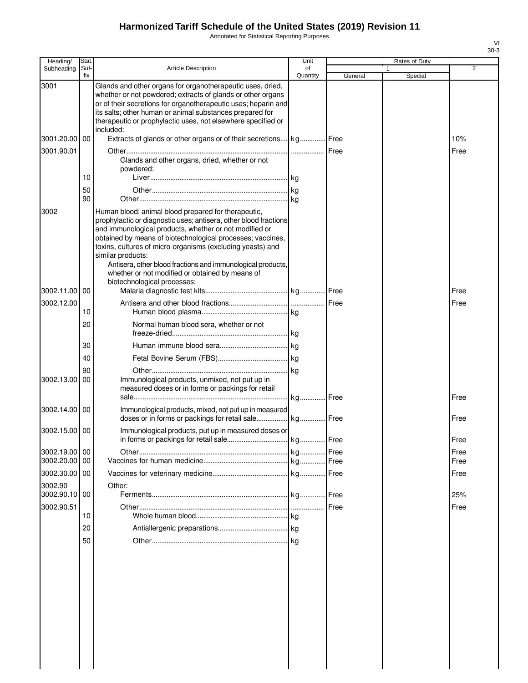Annotated for Statistical Reporting Purposes

| Heading/      | Stat.       |                                                                                                                                                                                                                                                                                                                                                                                                                                                                                     | Unit           |               | Rates of Duty |      |
|---------------|-------------|-------------------------------------------------------------------------------------------------------------------------------------------------------------------------------------------------------------------------------------------------------------------------------------------------------------------------------------------------------------------------------------------------------------------------------------------------------------------------------------|----------------|---------------|---------------|------|
| Subheading    | Suf-<br>fix | <b>Article Description</b>                                                                                                                                                                                                                                                                                                                                                                                                                                                          | of<br>Quantity | General       | Special       | 2    |
| 3001          |             | Glands and other organs for organotherapeutic uses, dried,<br>whether or not powdered; extracts of glands or other organs<br>or of their secretions for organotherapeutic uses; heparin and<br>its salts; other human or animal substances prepared for<br>therapeutic or prophylactic uses, not elsewhere specified or<br>included:                                                                                                                                                |                |               |               |      |
| 3001.20.00 00 |             | Extracts of glands or other organs or of their secretions kg Free                                                                                                                                                                                                                                                                                                                                                                                                                   |                |               |               | 10%  |
| 3001.90.01    | 10          | Glands and other organs, dried, whether or not<br>powdered:                                                                                                                                                                                                                                                                                                                                                                                                                         |                |               |               | Free |
|               | 50<br>90    |                                                                                                                                                                                                                                                                                                                                                                                                                                                                                     |                |               |               |      |
| 3002          |             | Human blood; animal blood prepared for therapeutic,<br>prophylactic or diagnostic uses; antisera, other blood fractions<br>and immunological products, whether or not modified or<br>obtained by means of biotechnological processes; vaccines,<br>toxins, cultures of micro-organisms (excluding yeasts) and<br>similar products:<br>Antisera, other blood fractions and immunological products,<br>whether or not modified or obtained by means of<br>biotechnological processes: |                |               |               |      |
| 3002.11.00 00 |             |                                                                                                                                                                                                                                                                                                                                                                                                                                                                                     |                |               |               | Free |
| 3002.12.00    |             |                                                                                                                                                                                                                                                                                                                                                                                                                                                                                     |                | Free          |               | Free |
|               | 10<br>20    | Normal human blood sera, whether or not                                                                                                                                                                                                                                                                                                                                                                                                                                             |                |               |               |      |
|               |             |                                                                                                                                                                                                                                                                                                                                                                                                                                                                                     |                |               |               |      |
|               | 30          |                                                                                                                                                                                                                                                                                                                                                                                                                                                                                     |                |               |               |      |
|               | 40          |                                                                                                                                                                                                                                                                                                                                                                                                                                                                                     |                |               |               |      |
| 3002.13.00    | 90<br>00    | Immunological products, unmixed, not put up in<br>measured doses or in forms or packings for retail                                                                                                                                                                                                                                                                                                                                                                                 | kg<br>kg       | <b>I</b> Free |               | Free |
| 3002.14.00 00 |             | Immunological products, mixed, not put up in measured<br>doses or in forms or packings for retail sale kg                                                                                                                                                                                                                                                                                                                                                                           |                | .Free         |               | Free |
| 3002.15.00 00 |             | Immunological products, put up in measured doses or<br>in forms or packings for retail sale                                                                                                                                                                                                                                                                                                                                                                                         | lka.           | Free          |               | Free |
| 3002.19.00 00 |             |                                                                                                                                                                                                                                                                                                                                                                                                                                                                                     |                | .l Free       |               | Free |
| 3002.20.00    | 00          |                                                                                                                                                                                                                                                                                                                                                                                                                                                                                     |                | Free          |               | Free |
| 3002.30.00 00 |             |                                                                                                                                                                                                                                                                                                                                                                                                                                                                                     |                |               |               | Free |
| 3002.90       |             | Other:                                                                                                                                                                                                                                                                                                                                                                                                                                                                              |                |               |               |      |
| 3002.90.10 00 |             |                                                                                                                                                                                                                                                                                                                                                                                                                                                                                     |                | Free          |               | 25%  |
| 3002.90.51    | 10          |                                                                                                                                                                                                                                                                                                                                                                                                                                                                                     |                | <b>I</b> Free |               | Free |
|               | 20          |                                                                                                                                                                                                                                                                                                                                                                                                                                                                                     |                |               |               |      |
|               | 50          |                                                                                                                                                                                                                                                                                                                                                                                                                                                                                     |                |               |               |      |
|               |             |                                                                                                                                                                                                                                                                                                                                                                                                                                                                                     |                |               |               |      |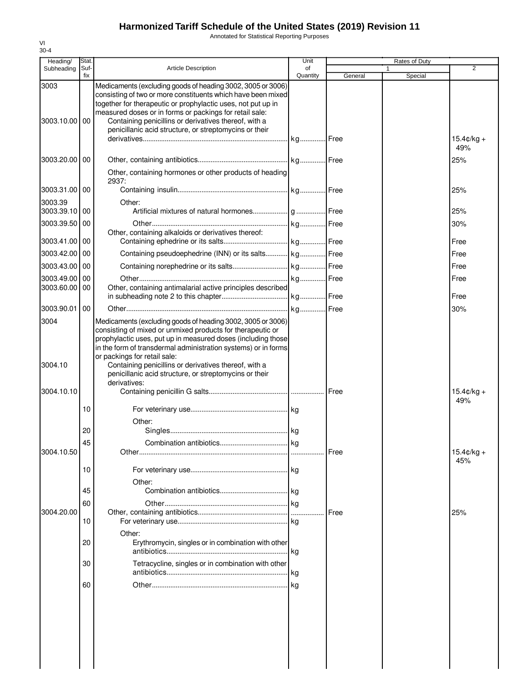Annotated for Statistical Reporting Purposes

| Heading/                      | Stat.       |                                                                                                                                                                                                                                                                                                                                                                                                                                | Unit                       |         | Rates of Duty |                      |
|-------------------------------|-------------|--------------------------------------------------------------------------------------------------------------------------------------------------------------------------------------------------------------------------------------------------------------------------------------------------------------------------------------------------------------------------------------------------------------------------------|----------------------------|---------|---------------|----------------------|
| Subheading                    | Suf-<br>fix | <b>Article Description</b>                                                                                                                                                                                                                                                                                                                                                                                                     | of<br>Quantity             | General | 1<br>Special  | $\overline{2}$       |
| 3003<br>3003.10.00            | 00          | Medicaments (excluding goods of heading 3002, 3005 or 3006)<br>consisting of two or more constituents which have been mixed<br>together for therapeutic or prophylactic uses, not put up in<br>measured doses or in forms or packings for retail sale:<br>Containing penicillins or derivatives thereof, with a<br>penicillanic acid structure, or streptomycins or their                                                      |                            |         |               | $15.4¢/kg +$         |
| 3003.20.00 00                 |             |                                                                                                                                                                                                                                                                                                                                                                                                                                |                            |         |               | 49%<br>25%           |
|                               |             | Other, containing hormones or other products of heading<br>2937:                                                                                                                                                                                                                                                                                                                                                               |                            |         |               |                      |
| 3003.31.00 00                 |             |                                                                                                                                                                                                                                                                                                                                                                                                                                |                            |         |               | 25%                  |
| 3003.39                       |             | Other:                                                                                                                                                                                                                                                                                                                                                                                                                         |                            |         |               |                      |
| 3003.39.10 00                 |             |                                                                                                                                                                                                                                                                                                                                                                                                                                |                            |         |               | 25%                  |
| 3003.39.50 00                 |             |                                                                                                                                                                                                                                                                                                                                                                                                                                |                            |         |               | 30%                  |
| 3003.41.00 00                 |             | Other, containing alkaloids or derivatives thereof:                                                                                                                                                                                                                                                                                                                                                                            |                            |         |               | Free                 |
| 3003.42.00 00                 |             | Containing pseudoephedrine (INN) or its salts kg Free                                                                                                                                                                                                                                                                                                                                                                          |                            |         |               | Free                 |
| 3003.43.00                    | 00          |                                                                                                                                                                                                                                                                                                                                                                                                                                |                            |         |               | Free                 |
| 3003.49.00                    | 00          |                                                                                                                                                                                                                                                                                                                                                                                                                                |                            |         |               | Free                 |
| 3003.60.00                    | 00          | Other, containing antimalarial active principles described                                                                                                                                                                                                                                                                                                                                                                     |                            |         |               |                      |
|                               |             |                                                                                                                                                                                                                                                                                                                                                                                                                                |                            |         |               | Free                 |
| 3003.90.01                    | 00          |                                                                                                                                                                                                                                                                                                                                                                                                                                |                            |         |               | 30%                  |
| 3004<br>3004.10<br>3004.10.10 |             | Medicaments (excluding goods of heading 3002, 3005 or 3006)<br>consisting of mixed or unmixed products for therapeutic or<br>prophylactic uses, put up in measured doses (including those<br>in the form of transdermal administration systems) or in forms<br>or packings for retail sale:<br>Containing penicillins or derivatives thereof, with a<br>penicillanic acid structure, or streptomycins or their<br>derivatives: |                            |         |               | $15.4 \text{C/kg} +$ |
|                               |             |                                                                                                                                                                                                                                                                                                                                                                                                                                |                            |         |               | 49%                  |
|                               | 10          |                                                                                                                                                                                                                                                                                                                                                                                                                                |                            |         |               |                      |
|                               | 20          | Other:                                                                                                                                                                                                                                                                                                                                                                                                                         |                            |         |               |                      |
|                               | 45          |                                                                                                                                                                                                                                                                                                                                                                                                                                | $\mathbf{I}_{\mathsf{kg}}$ |         |               |                      |
| 3004.10.50                    |             |                                                                                                                                                                                                                                                                                                                                                                                                                                |                            | Free    |               | $15.4 \text{C/kg} +$ |
|                               | 10<br>45    | Other:                                                                                                                                                                                                                                                                                                                                                                                                                         |                            |         |               | 45%                  |
|                               | 60          |                                                                                                                                                                                                                                                                                                                                                                                                                                |                            |         |               |                      |
| 3004.20.00                    |             |                                                                                                                                                                                                                                                                                                                                                                                                                                |                            | Free    |               | 25%                  |
|                               | 10          |                                                                                                                                                                                                                                                                                                                                                                                                                                |                            |         |               |                      |
|                               | 20          | Other:<br>Erythromycin, singles or in combination with other                                                                                                                                                                                                                                                                                                                                                                   |                            |         |               |                      |
|                               |             |                                                                                                                                                                                                                                                                                                                                                                                                                                | kg                         |         |               |                      |
|                               | 30          | Tetracycline, singles or in combination with other                                                                                                                                                                                                                                                                                                                                                                             |                            |         |               |                      |
|                               |             |                                                                                                                                                                                                                                                                                                                                                                                                                                | .  kg                      |         |               |                      |
|                               | 60          |                                                                                                                                                                                                                                                                                                                                                                                                                                | . kg                       |         |               |                      |
|                               |             |                                                                                                                                                                                                                                                                                                                                                                                                                                |                            |         |               |                      |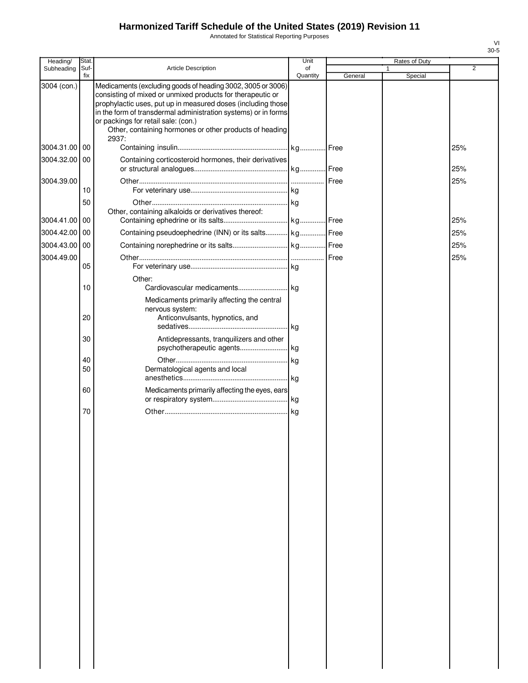Annotated for Statistical Reporting Purposes

| Heading/      | Stat.       |                                                                                                                                                                                                                                                                                                                                                                        | Unit           |         | Rates of Duty |                |
|---------------|-------------|------------------------------------------------------------------------------------------------------------------------------------------------------------------------------------------------------------------------------------------------------------------------------------------------------------------------------------------------------------------------|----------------|---------|---------------|----------------|
| Subheading    | Suf-<br>fix | Article Description                                                                                                                                                                                                                                                                                                                                                    | of<br>Quantity | General | 1<br>Special  | $\overline{2}$ |
| 3004 (con.)   |             | Medicaments (excluding goods of heading 3002, 3005 or 3006)<br>consisting of mixed or unmixed products for therapeutic or<br>prophylactic uses, put up in measured doses (including those<br>in the form of transdermal administration systems) or in forms<br>or packings for retail sale: (con.)<br>Other, containing hormones or other products of heading<br>2937: |                |         |               |                |
| 3004.31.00 00 |             |                                                                                                                                                                                                                                                                                                                                                                        |                |         |               | 25%            |
| 3004.32.00    | 00          | Containing corticosteroid hormones, their derivatives                                                                                                                                                                                                                                                                                                                  |                |         |               | 25%            |
| 3004.39.00    | 10          |                                                                                                                                                                                                                                                                                                                                                                        |                |         |               | 25%            |
|               | 50          |                                                                                                                                                                                                                                                                                                                                                                        |                |         |               |                |
| 3004.41.00 00 |             | Other, containing alkaloids or derivatives thereof:                                                                                                                                                                                                                                                                                                                    |                |         |               | 25%            |
| 3004.42.00    | 00          | Containing pseudoephedrine (INN) or its salts kg Free                                                                                                                                                                                                                                                                                                                  |                |         |               | 25%            |
| 3004.43.00    | 00          |                                                                                                                                                                                                                                                                                                                                                                        |                |         |               | 25%            |
| 3004.49.00    |             |                                                                                                                                                                                                                                                                                                                                                                        |                |         |               | 25%            |
|               | 05          |                                                                                                                                                                                                                                                                                                                                                                        |                |         |               |                |
|               | 10          | Other:                                                                                                                                                                                                                                                                                                                                                                 |                |         |               |                |
|               | 20          | Medicaments primarily affecting the central<br>nervous system:<br>Anticonvulsants, hypnotics, and                                                                                                                                                                                                                                                                      |                |         |               |                |
|               |             |                                                                                                                                                                                                                                                                                                                                                                        | . kg           |         |               |                |
|               | 30          | Antidepressants, tranquilizers and other<br>psychotherapeutic agents                                                                                                                                                                                                                                                                                                   | . kg           |         |               |                |
|               | 40          |                                                                                                                                                                                                                                                                                                                                                                        |                |         |               |                |
|               | 50          | Dermatological agents and local                                                                                                                                                                                                                                                                                                                                        |                |         |               |                |
|               | 60          | Medicaments primarily affecting the eyes, ears                                                                                                                                                                                                                                                                                                                         |                |         |               |                |
|               | 70          |                                                                                                                                                                                                                                                                                                                                                                        |                |         |               |                |
|               |             |                                                                                                                                                                                                                                                                                                                                                                        |                |         |               |                |
|               |             |                                                                                                                                                                                                                                                                                                                                                                        |                |         |               |                |
|               |             |                                                                                                                                                                                                                                                                                                                                                                        |                |         |               |                |
|               |             |                                                                                                                                                                                                                                                                                                                                                                        |                |         |               |                |
|               |             |                                                                                                                                                                                                                                                                                                                                                                        |                |         |               |                |
|               |             |                                                                                                                                                                                                                                                                                                                                                                        |                |         |               |                |
|               |             |                                                                                                                                                                                                                                                                                                                                                                        |                |         |               |                |
|               |             |                                                                                                                                                                                                                                                                                                                                                                        |                |         |               |                |
|               |             |                                                                                                                                                                                                                                                                                                                                                                        |                |         |               |                |
|               |             |                                                                                                                                                                                                                                                                                                                                                                        |                |         |               |                |
|               |             |                                                                                                                                                                                                                                                                                                                                                                        |                |         |               |                |
|               |             |                                                                                                                                                                                                                                                                                                                                                                        |                |         |               |                |
|               |             |                                                                                                                                                                                                                                                                                                                                                                        |                |         |               |                |
|               |             |                                                                                                                                                                                                                                                                                                                                                                        |                |         |               |                |
|               |             |                                                                                                                                                                                                                                                                                                                                                                        |                |         |               |                |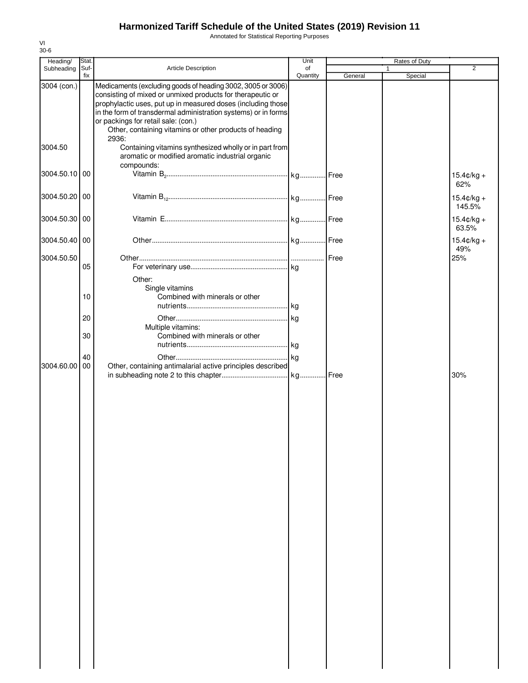Annotated for Statistical Reporting Purposes

| Heading/      | Stat.       |                                                                                                                                                                                                                                                                                                                                                                        | Unit     |         | Rates of Duty |                        |
|---------------|-------------|------------------------------------------------------------------------------------------------------------------------------------------------------------------------------------------------------------------------------------------------------------------------------------------------------------------------------------------------------------------------|----------|---------|---------------|------------------------|
| Subheading    | Suf-<br>fix | Article Description                                                                                                                                                                                                                                                                                                                                                    | of       |         | 1             | 2                      |
| 3004 (con.)   |             | Medicaments (excluding goods of heading 3002, 3005 or 3006)<br>consisting of mixed or unmixed products for therapeutic or<br>prophylactic uses, put up in measured doses (including those<br>in the form of transdermal administration systems) or in forms<br>or packings for retail sale: (con.)<br>Other, containing vitamins or other products of heading<br>2936: | Quantity | General | Special       |                        |
| 3004.50       |             | Containing vitamins synthesized wholly or in part from<br>aromatic or modified aromatic industrial organic<br>compounds:                                                                                                                                                                                                                                               |          |         |               |                        |
| 3004.50.10 00 |             |                                                                                                                                                                                                                                                                                                                                                                        |          |         |               | $15.4$ ¢/kg +<br>62%   |
| 3004.50.20 00 |             |                                                                                                                                                                                                                                                                                                                                                                        |          |         |               | $15.4¢/kg +$<br>145.5% |
| 3004.50.30 00 |             |                                                                                                                                                                                                                                                                                                                                                                        |          |         |               | $15.4¢/kg +$<br>63.5%  |
| 3004.50.40 00 |             |                                                                                                                                                                                                                                                                                                                                                                        |          |         |               | $15.4¢/kg +$<br>49%    |
| 3004.50.50    | 05          |                                                                                                                                                                                                                                                                                                                                                                        |          |         |               | 25%                    |
|               | 10          | Other:<br>Single vitamins<br>Combined with minerals or other                                                                                                                                                                                                                                                                                                           |          |         |               |                        |
|               | 20          |                                                                                                                                                                                                                                                                                                                                                                        |          |         |               |                        |
|               | 30          | Multiple vitamins:<br>Combined with minerals or other                                                                                                                                                                                                                                                                                                                  |          |         |               |                        |
|               | 40          |                                                                                                                                                                                                                                                                                                                                                                        |          |         |               |                        |
| 3004.60.00    | 00          | Other, containing antimalarial active principles described                                                                                                                                                                                                                                                                                                             |          |         |               | 30%                    |
|               |             |                                                                                                                                                                                                                                                                                                                                                                        |          |         |               |                        |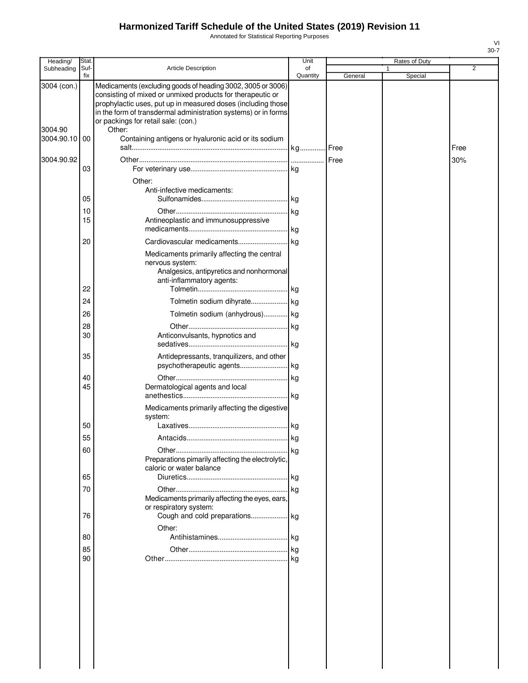Annotated for Statistical Reporting Purposes

| Heading/      | Stat.       |                                                                                                                                                                                                                                                                                                    | Unit           |         | Rates of Duty |                |
|---------------|-------------|----------------------------------------------------------------------------------------------------------------------------------------------------------------------------------------------------------------------------------------------------------------------------------------------------|----------------|---------|---------------|----------------|
| Subheading    | Suf-<br>fix | <b>Article Description</b>                                                                                                                                                                                                                                                                         | of<br>Quantity | General | Special       | $\overline{2}$ |
| 3004 (con.)   |             | Medicaments (excluding goods of heading 3002, 3005 or 3006)<br>consisting of mixed or unmixed products for therapeutic or<br>prophylactic uses, put up in measured doses (including those<br>in the form of transdermal administration systems) or in forms<br>or packings for retail sale: (con.) |                |         |               |                |
| 3004.90       |             | Other:                                                                                                                                                                                                                                                                                             |                |         |               |                |
| 3004.90.10 00 |             | Containing antigens or hyaluronic acid or its sodium                                                                                                                                                                                                                                               |                |         |               | Free           |
| 3004.90.92    |             |                                                                                                                                                                                                                                                                                                    |                | Free    |               | 30%            |
|               | 03          |                                                                                                                                                                                                                                                                                                    |                |         |               |                |
|               |             | Other:<br>Anti-infective medicaments:                                                                                                                                                                                                                                                              |                |         |               |                |
|               | 05          |                                                                                                                                                                                                                                                                                                    |                |         |               |                |
|               | 10          |                                                                                                                                                                                                                                                                                                    |                |         |               |                |
|               | 15          | Antineoplastic and immunosuppressive                                                                                                                                                                                                                                                               |                |         |               |                |
|               | 20          |                                                                                                                                                                                                                                                                                                    |                |         |               |                |
|               |             | Medicaments primarily affecting the central                                                                                                                                                                                                                                                        |                |         |               |                |
|               | 22          | nervous system:<br>Analgesics, antipyretics and nonhormonal<br>anti-inflammatory agents:                                                                                                                                                                                                           | . kg           |         |               |                |
|               | 24          |                                                                                                                                                                                                                                                                                                    |                |         |               |                |
|               | 26          | Tolmetin sodium (anhydrous) kg                                                                                                                                                                                                                                                                     |                |         |               |                |
|               | 28          |                                                                                                                                                                                                                                                                                                    | kg             |         |               |                |
|               | 30          | Anticonvulsants, hypnotics and                                                                                                                                                                                                                                                                     |                |         |               |                |
|               | 35          | Antidepressants, tranquilizers, and other                                                                                                                                                                                                                                                          |                |         |               |                |
|               |             | psychotherapeutic agents kg                                                                                                                                                                                                                                                                        |                |         |               |                |
|               | 40<br>45    | Dermatological agents and local                                                                                                                                                                                                                                                                    | kg             |         |               |                |
|               |             | Medicaments primarily affecting the digestive<br>system:                                                                                                                                                                                                                                           |                |         |               |                |
|               | 50          |                                                                                                                                                                                                                                                                                                    |                |         |               |                |
|               | 55          |                                                                                                                                                                                                                                                                                                    |                |         |               |                |
|               | 60          | Preparations pimarily affecting the electrolytic,<br>caloric or water balance                                                                                                                                                                                                                      | kg             |         |               |                |
|               | 65          |                                                                                                                                                                                                                                                                                                    |                |         |               |                |
|               | 70          | Medicaments primarily affecting the eyes, ears,<br>or respiratory system:                                                                                                                                                                                                                          |                |         |               |                |
|               | 76          | Cough and cold preparations kg<br>Other:                                                                                                                                                                                                                                                           |                |         |               |                |
|               | 80          |                                                                                                                                                                                                                                                                                                    |                |         |               |                |
|               | 85          |                                                                                                                                                                                                                                                                                                    |                |         |               |                |
|               | 90          |                                                                                                                                                                                                                                                                                                    |                |         |               |                |
|               |             |                                                                                                                                                                                                                                                                                                    |                |         |               |                |
|               |             |                                                                                                                                                                                                                                                                                                    |                |         |               |                |
|               |             |                                                                                                                                                                                                                                                                                                    |                |         |               |                |